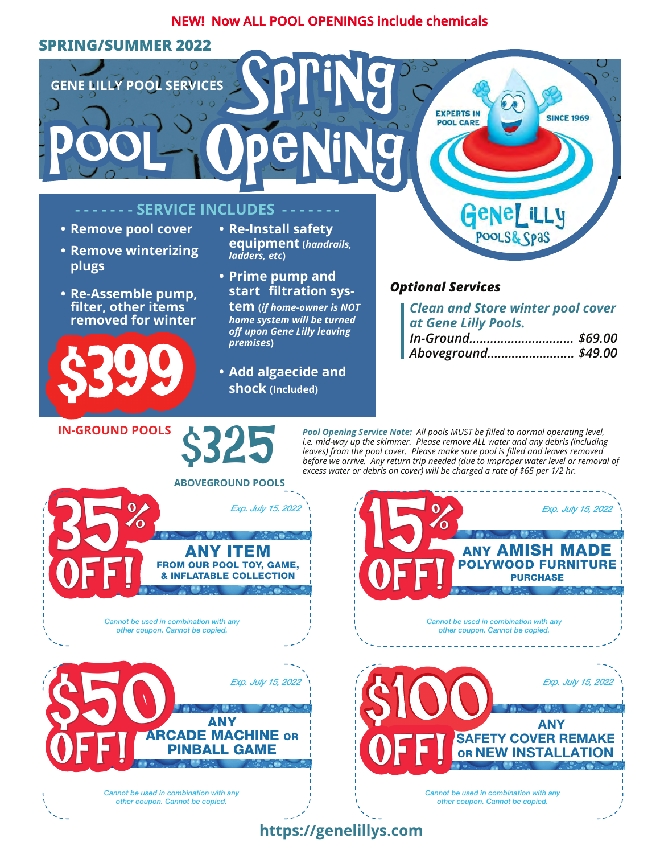#### **NEW! Now ALL POOL OPENINGS include chemicals**

Spring

## **SPRING/SUMMER 2022**

**GENE LILLY POOL SERVICES**

#### **SERVICE INCLUDES -**

POOL Opening

- **Remove pool cover**
- **Remove winterizing plugs**
- **Re-Assemble pump, filter, other items removed for winter**



**IN-GROUND POOLS** 

- **Re-Install safety equipment (***handrails, ladders, etc***)**
- **Prime pump and start filtration sys-**

**tem (***if home-owner is NOT home system will be turned off upon Gene Lilly leaving premises***)**

**• Add algaecide and shock (Included)**

## *Optional Services*

**EXPERTS IN** 

**POOL CARE** 

*Clean and Store winter pool cover at Gene Lilly Pools.*

**GENELILLY** 

**SINCE 1969** 

| In-Ground \$69.00   |  |
|---------------------|--|
| Aboveground \$49.00 |  |



*Pool Opening Service Note: All pools MUST be filled to normal operating level, i.e. mid-way up the skimmer. Please remove ALL water and any debris (including leaves) from the pool cover. Please make sure pool is filled and leaves removed before we arrive. Any return trip needed (due to improper water level or removal of excess water or debris on cover) will be charged a rate of \$65 per 1/2 hr.*



# **https://genelillys.com**